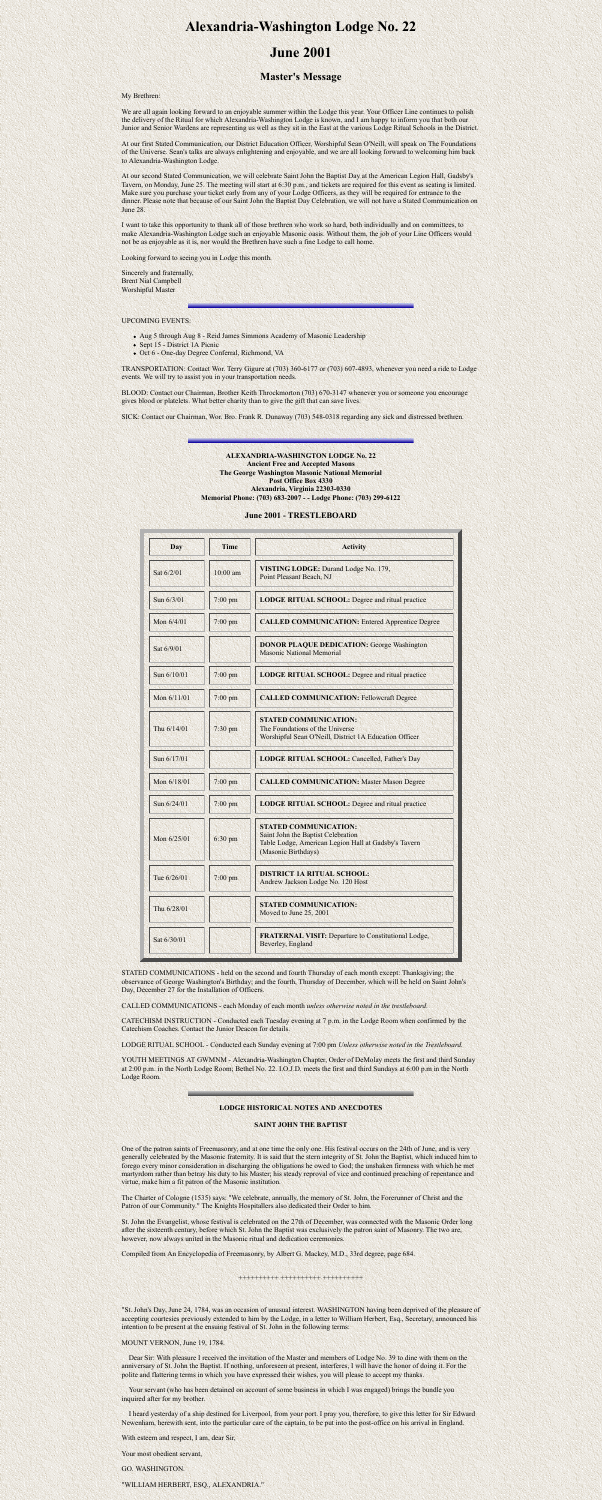# **Alexandria-Washington Lodge No. 22**

# **June 2001**

## **Master's Message**

My Brethren:

We are all again looking forward to an enjoyable summer within the Lodge this year. Your Officer Line continues to polish the delivery of the Ritual for which Alexandria-Washington Lodge is known, and I am happy to inform you that both our Junior and Senior Wardens are representing us well as they sit in the East at the various Lodge Ritual Schools in the District.

At our first Stated Communication, our District Education Officer, Worshipful Sean O'Neill, will speak on The Foundations of the Universe. Sean's talks are always enlightening and enjoyable, and we are all looking forward to welcoming him back to Alexandria-Washington Lodge.

- Aug 5 through Aug 8 Reid James Simmons Academy of Masonic Leadership
- Sept 15 District 1A Picnic
- Oct 6 One-day Degree Conferral, Richmond, VA

At our second Stated Communication, we will celebrate Saint John the Baptist Day at the American Legion Hall, Gadsby's Tavern, on Monday, June 25. The meeting will start at 6:30 p.m., and tickets are required for this event as seating is limited. Make sure you purchase your ticket early from any of your Lodge Officers, as they will be required for entrance to the dinner. Please note that because of our Saint John the Baptist Day Celebration, we will not have a Stated Communication on June 28.

I want to take this opportunity to thank all of those brethren who work so hard, both individually and on committees, to make Alexandria-Washington Lodge such an enjoyable Masonic oasis. Without them, the job of your Line Officers would not be as enjoyable as it is, nor would the Brethren have such a fine Lodge to call home.

Looking forward to seeing you in Lodge this month.

Sincerely and fraternally, Brent Nial Campbell Worshipful Master

UPCOMING EVENTS:

TRANSPORTATION: Contact Wor. Terry Gigure at (703) 360-6177 or (703) 607-4893, whenever you need a ride to Lodge events. We will try to assist you in your transportation needs.

BLOOD: Contact our Chairman, Brother Keith Throckmorton (703) 670-3147 whenever you or someone you encourage gives blood or platelets. What better charity than to give the gift that can save lives.

SICK: Contact our Chairman, Wor. Bro. Frank R. Dunaway (703) 548-0318 regarding any sick and distressed brethren.

### **ALEXANDRIA-WASHINGTON LODGE No. 22 Ancient Free and Accepted Masons The George Washington Masonic National Memorial Post Office Box 4330 Alexandria, Virginia 22303-0330 Memorial Phone: (703) 683-2007 - - Lodge Phone: (703) 299-6122**

**June 2001 - TRESTLEBOARD**

| <b>Day</b>  | <b>Time</b>       | <b>Activity</b>                                                                                                                                   |
|-------------|-------------------|---------------------------------------------------------------------------------------------------------------------------------------------------|
| Sat 6/2/01  | $10:00$ am        | VISTING LODGE: Durand Lodge No. 179,<br>Point Pleasant Beach, NJ                                                                                  |
| Sun 6/3/01  | $7:00$ pm         | <b>LODGE RITUAL SCHOOL: Degree and ritual practice</b>                                                                                            |
| Mon 6/4/01  | $7:00$ pm         | <b>CALLED COMMUNICATION: Entered Apprentice Degree</b>                                                                                            |
| Sat 6/9/01  |                   | <b>DONOR PLAQUE DEDICATION: George Washington</b><br><b>Masonic National Memorial</b>                                                             |
| Sun 6/10/01 | $7:00$ pm         | <b>LODGE RITUAL SCHOOL:</b> Degree and ritual practice                                                                                            |
| Mon 6/11/01 | 7:00 pm           | <b>CALLED COMMUNICATION: Fellowcraft Degree</b>                                                                                                   |
| Thu 6/14/01 | 7:30 pm           | <b>STATED COMMUNICATION:</b><br>The Foundations of the Universe<br>Worshipful Sean O'Neill, District 1A Education Officer                         |
| Sun 6/17/01 |                   | <b>LODGE RITUAL SCHOOL: Cancelled, Father's Day</b>                                                                                               |
| Mon 6/18/01 | $7:00$ pm         | <b>CALLED COMMUNICATION: Master Mason Degree</b>                                                                                                  |
| Sun 6/24/01 | $7:00$ pm         | <b>LODGE RITUAL SCHOOL: Degree and ritual practice</b>                                                                                            |
| Mon 6/25/01 | $6:30 \text{ pm}$ | <b>STATED COMMUNICATION:</b><br>Saint John the Baptist Celebration<br>Table Lodge, American Legion Hall at Gadsby's Tavern<br>(Masonic Birthdays) |
| Tue 6/26/01 | $7:00 \text{ pm}$ | <b>DISTRICT 1A RITUAL SCHOOL:</b><br>Andrew Jackson Lodge No. 120 Host                                                                            |
| Thu 6/28/01 |                   | <b>STATED COMMUNICATION:</b><br>Moved to June 25, 2001                                                                                            |
| Sat 6/30/01 |                   | <b>FRATERNAL VISIT: Departure to Constitutional Lodge,</b><br>Beverley, England                                                                   |

STATED COMMUNICATIONS - held on the second and fourth Thursday of each month except: Thanksgiving; the observance of George Washington's Birthday; and the fourth, Thursday of December, which will be held on Saint John's Day, December 27 for the Installation of Officers.

CALLED COMMUNICATIONS - each Monday of each month *unless otherwise noted in the trestleboard.*

CATECHISM INSTRUCTION - Conducted each Tuesday evening at 7 p.m. in the Lodge Room when confirmed by the Catechism Coaches. Contact the Junior Deacon for details.

LODGE RITUAL SCHOOL - Conducted each Sunday evening at 7:00 pm *Unless otherwise noted in the Trestleboard.*

YOUTH MEETINGS AT GWMNM - Alexandria-Washington Chapter, Order of DeMolay meets the first and third Sunday at 2:00 p.m. in the North Lodge Room; Bethel No. 22. I.O.J.D. meets the first and third Sundays at 6:00 p.m in the North

Lodge Room.

### **LODGE HISTORICAL NOTES AND ANECDOTES**

#### **SAINT JOHN THE BAPTIST**

One of the patron saints of Freemasonry, and at one time the only one. His festival occurs on the 24th of June, and is very generally celebrated by the Masonic fraternity. It is said that the stern integrity of St. John the Baptist, which induced him to forego every minor consideration in discharging the obligations he owed to God; the unshaken firmness with which he met martyrdom rather than betray his duty to his Master; his steady reproval of vice and continued preaching of repentance and virtue, make him a fit patron of the Masonic institution.

The Charter of Cologne (1535) says: "We celebrate, annually, the memory of St. John, the Forerunner of Christ and the Patron of our Community." The Knights Hospitallers also dedicated their Order to him.

St. John the Evangelist, whose festival is celebrated on the 27th of December, was connected with the Masonic Order long after the sixteenth century, before which St. John the Baptist was exclusively the patron saint of Masonry. The two are, however, now always united in the Masonic ritual and dedication ceremonies.

Compiled from An Encyclopedia of Freemasonry, by Albert G. Mackey, M.D., 33rd degree, page 684.

++++++++++ ++++++++++ ++++++++++

"St. John's Day, June 24, 1784, was an occasion of unusual interest. WASHINGTON having been deprived of the pleasure of accepting courtesies previously extended to him by the Lodge, in a letter to William Herbert, Esq., Secretary, announced his intention to be present at the ensuing festival of St. John in the following terms:

MOUNT VERNON, June 19, 1784.

 Dear Sir: With pleasure I received the invitation of the Master and members of Lodge No. 39 to dine with them on the anniversary of St. John the Baptist. If nothing, unforeseen at present, interferes, I will have the honor of doing it. For the polite and flattering terms in which you have expressed their wishes, you will please to accept my thanks.

 Your servant (who has been detained on account of some business in which I was engaged) brings the bundle you inquired after for my brother.

 I heard yesterday of a ship destined for Liverpool, from your port. I pray you, therefore, to give this letter for Sir Edward Newenham, herewith sent, into the particular care of the captain, to be put into the post-office on his arrival in England.

With esteem and respect, I am, dear Sir,

Your most obedient servant,

GO. WASHINGTON.

"WILLIAM HERBERT, ESQ., ALEXANDRIA."